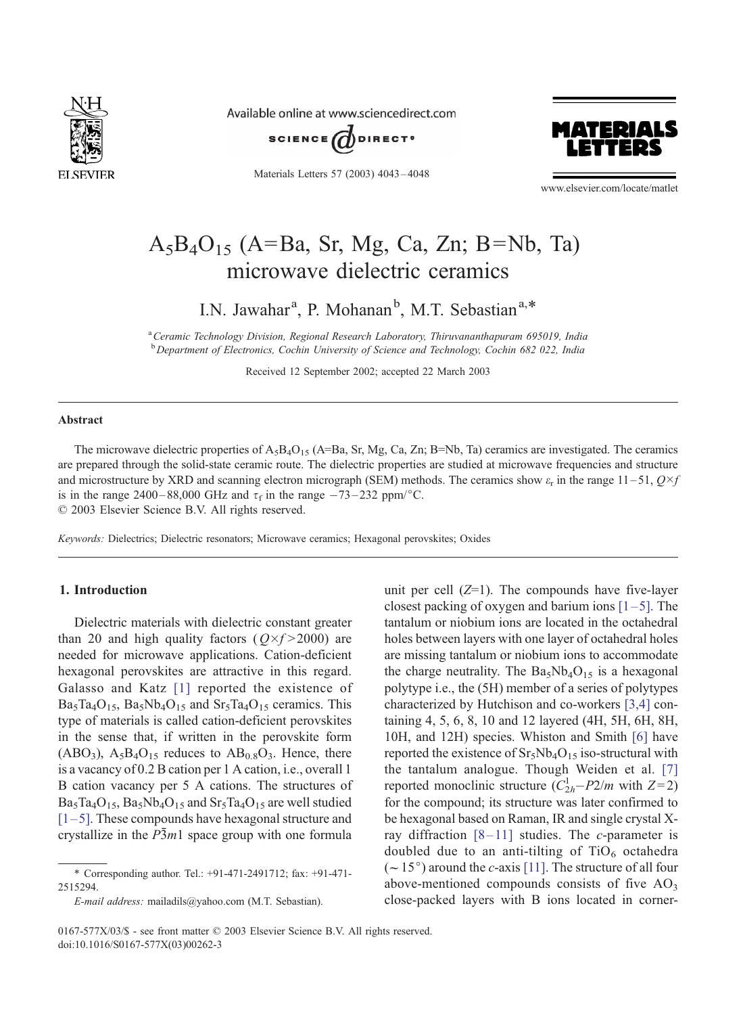

Available online at www.sciencedirect.com



Materials Letters 57 (2003) 4043 – 4048



www.elsevier.com/locate/matlet

# $A_5B_4O_{15}$  (A=Ba, Sr, Mg, Ca, Zn; B=Nb, Ta) microwave dielectric ceramics

I.N. Jawahar<sup>a</sup>, P. Mohanan<sup>b</sup>, M.T. Sebastian<sup>a,\*</sup>

<sup>a</sup> Ceramic Technology Division, Regional Research Laboratory, Thiruvananthapuram 695019, India <sup>b</sup> Department of Electronics, Cochin University of Science and Technology, Cochin 682 022, India

Received 12 September 2002; accepted 22 March 2003

#### Abstract

The microwave dielectric properties of  $A_5B_4O_{15}$  (A=Ba, Sr, Mg, Ca, Zn; B=Nb, Ta) ceramics are investigated. The ceramics are prepared through the solid-state ceramic route. The dielectric properties are studied at microwave frequencies and structure and microstructure by XRD and scanning electron micrograph (SEM) methods. The ceramics show  $\varepsilon_r$  in the range 11–51,  $Q \times f$ is in the range 2400–88,000 GHz and  $\tau_f$  in the range  $-73-232$  ppm/°C.  $© 2003 Elsevier Science B.V. All rights reserved.$ 

Keywords: Dielectrics; Dielectric resonators; Microwave ceramics; Hexagonal perovskites; Oxides

# 1. Introduction

Dielectric materials with dielectric constant greater than 20 and high quality factors ( $Q \times f > 2000$ ) are needed for microwave applications. Cation-deficient hexagonal perovskites are attractive in this regard. Galasso and Katz [\[1\]](#page-5-0) reported the existence of  $Ba<sub>5</sub>Ta<sub>4</sub>O<sub>15</sub>$ ,  $Ba<sub>5</sub>Nb<sub>4</sub>O<sub>15</sub>$  and  $Sr<sub>5</sub>Ta<sub>4</sub>O<sub>15</sub>$  ceramics. This type of materials is called cation-deficient perovskites in the sense that, if written in the perovskite form  $(ABO<sub>3</sub>)$ ,  $A<sub>5</sub>B<sub>4</sub>O<sub>15</sub>$  reduces to  $AB<sub>0.8</sub>O<sub>3</sub>$ . Hence, there is a vacancy of 0.2 B cation per 1 A cation, i.e., overall 1 B cation vacancy per 5 A cations. The structures of  $Ba<sub>5</sub>Ta<sub>4</sub>O<sub>15</sub>$ ,  $Ba<sub>5</sub>Nb<sub>4</sub>O<sub>15</sub>$  and  $Sr<sub>5</sub>Ta<sub>4</sub>O<sub>15</sub>$  are well studied  $[1-5]$ . These compounds have hexagonal structure and crystallize in the  $P\bar{3}m1$  space group with one formula

unit per cell  $(Z=1)$ . The compounds have five-layer closest packing of oxygen and barium ions  $[1-5]$ . The tantalum or niobium ions are located in the octahedral holes between layers with one layer of octahedral holes are missing tantalum or niobium ions to accommodate the charge neutrality. The  $Ba<sub>5</sub>Nb<sub>4</sub>O<sub>15</sub>$  is a hexagonal polytype i.e., the (5H) member of a series of polytypes characterized by Hutchison and co-workers [\[3,4\]](#page-5-0) containing 4, 5, 6, 8, 10 and 12 layered (4H, 5H, 6H, 8H, 10H, and 12H) species. Whiston and Smith [\[6\]](#page-5-0) have reported the existence of  $Sr<sub>5</sub>Nb<sub>4</sub>O<sub>15</sub>$  iso-structural with the tantalum analogue. Though Weiden et al. [\[7\]](#page-5-0) reported monoclinic structure  $(C_{2h}^1 - P2/m$  with  $Z=2)$ for the compound; its structure was later confirmed to be hexagonal based on Raman, IR and single crystal Xray diffraction  $[8-11]$  studies. The *c*-parameter is doubled due to an anti-tilting of  $TiO<sub>6</sub>$  octahedra  $(-15^{\circ})$  around the c-axis [\[11\].](#page-5-0) The structure of all four above-mentioned compounds consists of five  $AO<sub>3</sub>$ close-packed layers with B ions located in corner-

<sup>\*</sup> Corresponding author. Tel.: +91-471-2491712; fax: +91-471- 2515294.

E-mail address: mailadils@yahoo.com (M.T. Sebastian).

<sup>0167-577</sup>X/03/\$ - see front matter © 2003 Elsevier Science B.V. All rights reserved. doi:10.1016/S0167-577X(03)00262-3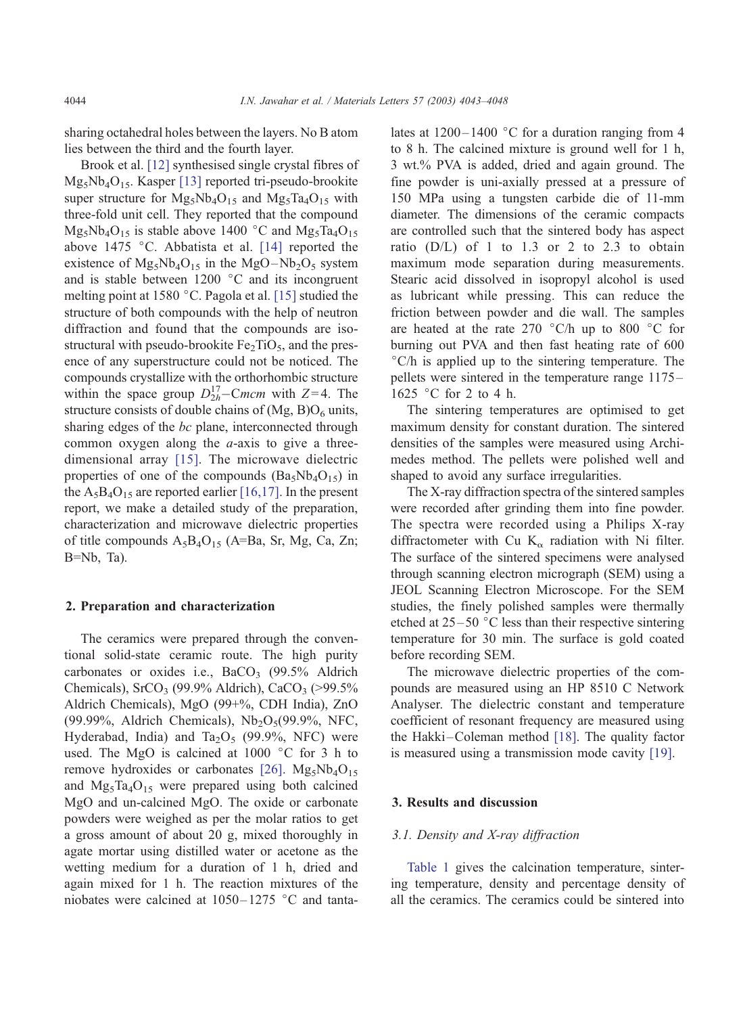sharing octahedral holes between the layers. No B atom lies between the third and the fourth layer.

Brook et al. [\[12\]](#page-5-0) synthesised single crystal fibres of  $Mg_5Nb_4O_{15}$ . Kasper [\[13\]](#page-5-0) reported tri-pseudo-brookite super structure for  $Mg_5Nb_4O_{15}$  and  $Mg_5Ta_4O_{15}$  with three-fold unit cell. They reported that the compound  $Mg_5Nb_4O_{15}$  is stable above 1400 °C and  $Mg_5Ta_4O_{15}$ above 1475 °C. Abbatista et al. [\[14\]](#page-5-0) reported the existence of  $Mg_5Nb_4O_{15}$  in the  $MgO-Nb_2O_5$  system and is stable between  $1200$  °C and its incongruent melting point at 1580  $^{\circ}$ C. Pagola et al. [\[15\]](#page-5-0) studied the structure of both compounds with the help of neutron diffraction and found that the compounds are isostructural with pseudo-brookite  $Fe<sub>2</sub>TiO<sub>5</sub>$ , and the presence of any superstructure could not be noticed. The compounds crystallize with the orthorhombic structure within the space group  $D_{2h}^{17}$ -Cmcm with Z=4. The structure consists of double chains of  $(Mg, B)O<sub>6</sub>$  units, sharing edges of the bc plane, interconnected through common oxygen along the  $a$ -axis to give a threedimensional array [\[15\].](#page-5-0) The microwave dielectric properties of one of the compounds  $(Ba_5Nb_4O_{15})$  in the  $A_5B_4O_{15}$  are reported earlier [\[16,17\].](#page-5-0) In the present report, we make a detailed study of the preparation, characterization and microwave dielectric properties of title compounds  $A_5B_4O_{15}$  (A=Ba, Sr, Mg, Ca, Zn; B=Nb, Ta).

#### 2. Preparation and characterization

The ceramics were prepared through the conventional solid-state ceramic route. The high purity carbonates or oxides i.e.,  $BaCO<sub>3</sub>$  (99.5% Aldrich Chemicals), SrCO<sub>3</sub> (99.9% Aldrich), CaCO<sub>3</sub> (>99.5%) Aldrich Chemicals), MgO (99+%, CDH India), ZnO (99.99%, Aldrich Chemicals),  $Nb<sub>2</sub>O<sub>5</sub>(99.9%, NFC,$ Hyderabad, India) and  $Ta_2O_5$  (99.9%, NFC) were used. The MgO is calcined at  $1000\degree C$  for 3 h to remove hydroxides or carbonates [\[26\].](#page-5-0)  $Mg_5Nb_4O_{15}$ and  $Mg_5Ta_4O_{15}$  were prepared using both calcined MgO and un-calcined MgO. The oxide or carbonate powders were weighed as per the molar ratios to get a gross amount of about 20 g, mixed thoroughly in agate mortar using distilled water or acetone as the wetting medium for a duration of 1 h, dried and again mixed for 1 h. The reaction mixtures of the niobates were calcined at  $1050 - 1275$  °C and tantalates at  $1200 - 1400$  °C for a duration ranging from 4 to 8 h. The calcined mixture is ground well for 1 h, 3 wt.% PVA is added, dried and again ground. The fine powder is uni-axially pressed at a pressure of 150 MPa using a tungsten carbide die of 11-mm diameter. The dimensions of the ceramic compacts are controlled such that the sintered body has aspect ratio  $(D/L)$  of 1 to 1.3 or 2 to 2.3 to obtain maximum mode separation during measurements. Stearic acid dissolved in isopropyl alcohol is used as lubricant while pressing. This can reduce the friction between powder and die wall. The samples are heated at the rate  $270 \degree C/h$  up to 800  $\degree C$  for burning out PVA and then fast heating rate of 600  $\degree$ C/h is applied up to the sintering temperature. The pellets were sintered in the temperature range 1175– 1625  $\degree$ C for 2 to 4 h.

The sintering temperatures are optimised to get maximum density for constant duration. The sintered densities of the samples were measured using Archimedes method. The pellets were polished well and shaped to avoid any surface irregularities.

The X-ray diffraction spectra of the sintered samples were recorded after grinding them into fine powder. The spectra were recorded using a Philips X-ray diffractometer with Cu  $K_{\alpha}$  radiation with Ni filter. The surface of the sintered specimens were analysed through scanning electron micrograph (SEM) using a JEOL Scanning Electron Microscope. For the SEM studies, the finely polished samples were thermally etched at  $25-50$  °C less than their respective sintering temperature for 30 min. The surface is gold coated before recording SEM.

The microwave dielectric properties of the compounds are measured using an HP 8510 C Network Analyser. The dielectric constant and temperature coefficient of resonant frequency are measured using the Hakki–Coleman method [\[18\].](#page-5-0) The quality factor is measured using a transmission mode cavity [\[19\].](#page-5-0)

# 3. Results and discussion

### 3.1. Density and X-ray diffraction

[Table 1](#page-2-0) gives the calcination temperature, sintering temperature, density and percentage density of all the ceramics. The ceramics could be sintered into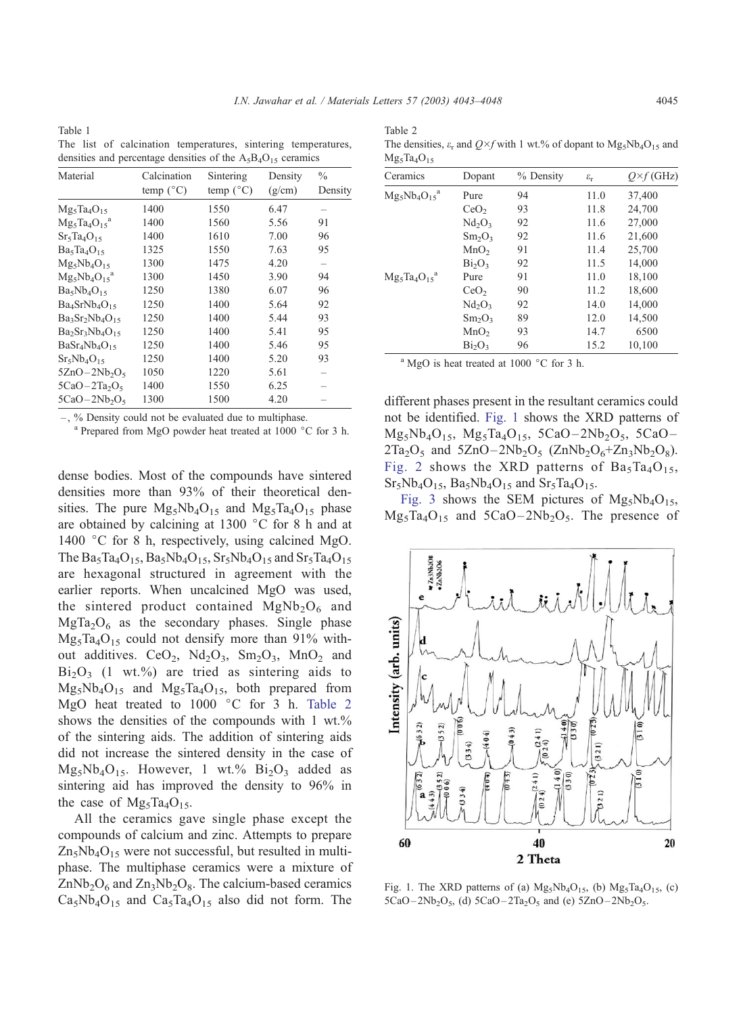<span id="page-2-0"></span>Table 1 The list of calcination temperatures, sintering temperatures, densities and percentage densities of the  $A_5B_4O_{15}$  ceramics

| Material             | Calcination        | Sintering          | Density | $\frac{0}{0}$ |
|----------------------|--------------------|--------------------|---------|---------------|
|                      | temp $(^{\circ}C)$ | temp $(^{\circ}C)$ | (g/cm)  | Density       |
| $Mg_5Ta_4O_{15}$     | 1400               | 1550               | 6.47    |               |
| $Mg_5Ta_4O_{15}^a$   | 1400               | 1560               | 5.56    | 91            |
| $Sr5Ta4O15$          | 1400               | 1610               | 7.00    | 96            |
| $Ba5Ta4O15$          | 1325               | 1550               | 7.63    | 95            |
| $Mg_5Nb_4O_{15}$     | 1300               | 1475               | 4.20    | -             |
| $Mg_5Nb_4O_{15}^a$   | 1300               | 1450               | 3.90    | 94            |
| $Ba_5Nb_4O_{15}$     | 1250               | 1380               | 6.07    | 96            |
| $Ba4SrNb4O15$        | 1250               | 1400               | 5.64    | 92            |
| $Ba3Sr2Nb4O15$       | 1250               | 1400               | 5.44    | 93            |
| $Ba_2Sr_3Nb_4O_{15}$ | 1250               | 1400               | 5.41    | 95            |
| $BaSr4Nb4O15$        | 1250               | 1400               | 5.46    | 95            |
| $Sr5Nb4O15$          | 1250               | 1400               | 5.20    | 93            |
| $5ZnO-2Nb_2O_5$      | 1050               | 1220               | 5.61    |               |
| $5CaO-2Ta_2O_5$      | 1400               | 1550               | 6.25    |               |
| $5CaO-2Nb2O5$        | 1300               | 1500               | 4.20    |               |

–, % Density could not be evaluated due to multiphase.<br><sup>a</sup> Prepared from MgO powder heat treated at 1000  $^{\circ}$ C for 3 h.

dense bodies. Most of the compounds have sintered densities more than 93% of their theoretical densities. The pure  $Mg_5Nb_4O_{15}$  and  $Mg_5Ta_4O_{15}$  phase are obtained by calcining at 1300  $\degree$ C for 8 h and at 1400  $\degree$ C for 8 h, respectively, using calcined MgO. The  $Ba_5Ta_4O_{15}$ ,  $Ba_5Nb_4O_{15}$ ,  $Sr_5Nb_4O_{15}$  and  $Sr_5Ta_4O_{15}$ are hexagonal structured in agreement with the earlier reports. When uncalcined MgO was used, the sintered product contained  $MgNb<sub>2</sub>O<sub>6</sub>$  and  $MgTa<sub>2</sub>O<sub>6</sub>$  as the secondary phases. Single phase  $Mg_5Ta_4O_{15}$  could not densify more than 91% without additives.  $CeO<sub>2</sub>$ ,  $Nd<sub>2</sub>O<sub>3</sub>$ ,  $Sm<sub>2</sub>O<sub>3</sub>$ ,  $MnO<sub>2</sub>$  and  $Bi<sub>2</sub>O<sub>3</sub>$  (1 wt.%) are tried as sintering aids to  $Mg_5Nb_4O_{15}$  and  $Mg_5Ta_4O_{15}$ , both prepared from MgO heat treated to  $1000 \degree C$  for 3 h. Table 2 shows the densities of the compounds with 1 wt.% of the sintering aids. The addition of sintering aids did not increase the sintered density in the case of  $Mg_5Nb_4O_{15}$ . However, 1 wt.%  $Bi_2O_3$  added as sintering aid has improved the density to 96% in the case of  $Mg_5Ta_4O_{15}$ .

All the ceramics gave single phase except the compounds of calcium and zinc. Attempts to prepare  $Zn_5Nb_4O_{15}$  were not successful, but resulted in multiphase. The multiphase ceramics were a mixture of  $\text{ZnNb}_2\text{O}_6$  and  $\text{Zn}_3\text{Nb}_2\text{O}_8$ . The calcium-based ceramics  $Ca<sub>5</sub>Nb<sub>4</sub>O<sub>15</sub>$  and  $Ca<sub>5</sub>Ta<sub>4</sub>O<sub>15</sub>$  also did not form. The

Table 2 The densities,  $\varepsilon_r$  and  $Q \times f$  with 1 wt.% of dopant to Mg<sub>5</sub>Nb<sub>4</sub>O<sub>15</sub> and  $M\sigma_{5}Ta_{4}O_{15}$ 

| Ceramics           | Dopant                         | % Density | $\varepsilon_{r}$ | $Q \times f$ (GHz) |  |  |
|--------------------|--------------------------------|-----------|-------------------|--------------------|--|--|
| $Mg_5Nb_4O_{15}^a$ | Pure                           | 94        | 11.0              | 37,400             |  |  |
|                    | CeO <sub>2</sub>               | 93        | 11.8              | 24,700             |  |  |
|                    | Nd <sub>2</sub> O <sub>3</sub> | 92        | 11.6              | 27,000             |  |  |
|                    | $Sm_2O_3$                      | 92        | 11.6              | 21,600             |  |  |
|                    | MnO <sub>2</sub>               | 91        | 11.4              | 25,700             |  |  |
|                    | Bi <sub>2</sub> O <sub>3</sub> | 92        | 11.5              | 14,000             |  |  |
| $Mg_5Ta_4O_{15}^a$ | Pure                           | 91        | 11.0              | 18,100             |  |  |
|                    | CeO <sub>2</sub>               | 90        | 11.2              | 18,600             |  |  |
|                    | Nd <sub>2</sub> O <sub>3</sub> | 92        | 14.0              | 14,000             |  |  |
|                    | $Sm_2O_3$                      | 89        | 12.0              | 14,500             |  |  |
|                    | MnO <sub>2</sub>               | 93        | 14.7              | 6500               |  |  |
|                    | Bi <sub>2</sub> O <sub>3</sub> | 96        | 15.2              | 10,100             |  |  |

 $a$  MgO is heat treated at 1000  $\degree$ C for 3 h.

different phases present in the resultant ceramics could not be identified. Fig. 1 shows the XRD patterns of  $Mg_5Nb_4O_{15}$ ,  $Mg_5Ta_4O_{15}$ ,  $5CaO-2Nb_2O_5$ ,  $5CaO 2Ta_2O_5$  and  $5ZnO-2Nb_2O_5$  (ZnNb<sub>2</sub>O<sub>6</sub>+Zn<sub>3</sub>Nb<sub>2</sub>O<sub>8</sub>). [Fig. 2](#page-3-0) shows the XRD patterns of  $Ba<sub>5</sub>Ta<sub>4</sub>O<sub>15</sub>$ ,  $Sr<sub>5</sub>Nb<sub>4</sub>O<sub>15</sub>$ , Ba<sub>5</sub>Nb<sub>4</sub>O<sub>15</sub> and Sr<sub>5</sub>Ta<sub>4</sub>O<sub>15</sub>.

[Fig. 3](#page-3-0) shows the SEM pictures of  $Mg_5Nb_4O_{15}$ ,  $Mg_5Ta_4O_{15}$  and  $5CaO-2Nb_2O_5$ . The presence of



Fig. 1. The XRD patterns of (a)  $Mg_5Nb_4O_{15}$ , (b)  $Mg_5Ta_4O_{15}$ , (c)  $5CaO - 2Nb<sub>2</sub>O<sub>5</sub>$ , (d)  $5CaO - 2Ta<sub>2</sub>O<sub>5</sub>$  and (e)  $5ZnO - 2Nb<sub>2</sub>O<sub>5</sub>$ .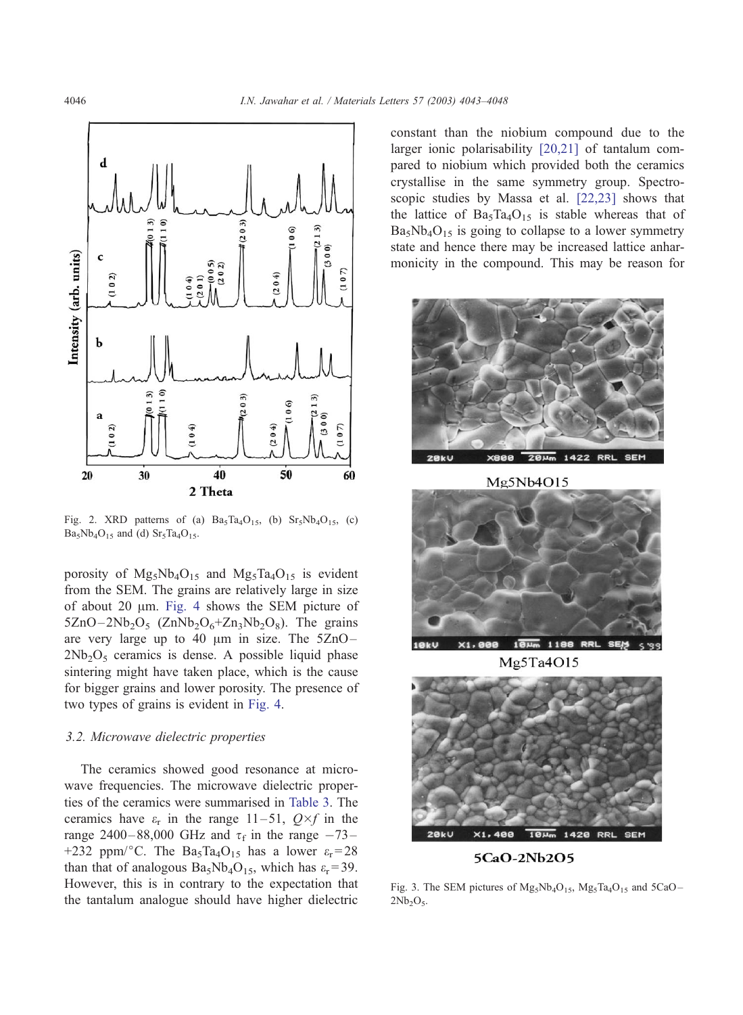<span id="page-3-0"></span>

Fig. 2. XRD patterns of (a)  $Ba<sub>5</sub>Ta<sub>4</sub>O<sub>15</sub>$ , (b)  $Sr<sub>5</sub>Nb<sub>4</sub>O<sub>15</sub>$ , (c)  $Ba<sub>5</sub>Nb<sub>4</sub>O<sub>15</sub>$  and (d)  $Sr<sub>5</sub>Ta<sub>4</sub>O<sub>15</sub>$ .

porosity of  $Mg_5Nb_4O_{15}$  and  $Mg_5Ta_4O_{15}$  is evident from the SEM. The grains are relatively large in size of about 20  $\mu$ m. [Fig. 4](#page-4-0) shows the SEM picture of  $5ZnO-2Nb<sub>2</sub>O<sub>5</sub>$  (ZnNb<sub>2</sub>O<sub>6</sub>+Zn<sub>3</sub>Nb<sub>2</sub>O<sub>8</sub>). The grains are very large up to 40  $\mu$ m in size. The 5ZnO –  $2Nb<sub>2</sub>O<sub>5</sub>$  ceramics is dense. A possible liquid phase sintering might have taken place, which is the cause for bigger grains and lower porosity. The presence of two types of grains is evident in [Fig. 4.](#page-4-0)

#### 3.2. Microwave dielectric properties

The ceramics showed good resonance at microwave frequencies. The microwave dielectric properties of the ceramics were summarised in [Table 3.](#page-4-0) The ceramics have  $\varepsilon_r$  in the range 11–51,  $Q \times f$  in the range 2400–88,000 GHz and  $\tau_f$  in the range  $-73$ – +232 ppm/°C. The Ba<sub>5</sub>Ta<sub>4</sub>O<sub>15</sub> has a lower  $\varepsilon_r = 28$ than that of analogous Ba<sub>5</sub>Nb<sub>4</sub>O<sub>15</sub>, which has  $\varepsilon_r = 39$ . However, this is in contrary to the expectation that the tantalum analogue should have higher dielectric constant than the niobium compound due to the larger ionic polarisability [\[20,21\]](#page-5-0) of tantalum compared to niobium which provided both the ceramics crystallise in the same symmetry group. Spectroscopic studies by Massa et al. [\[22,23\]](#page-5-0) shows that the lattice of  $Ba<sub>5</sub>Ta<sub>4</sub>O<sub>15</sub>$  is stable whereas that of  $Ba<sub>5</sub>Nb<sub>4</sub>O<sub>15</sub>$  is going to collapse to a lower symmetry state and hence there may be increased lattice anharmonicity in the compound. This may be reason for



Mg5Nb4O15



Mg5Ta4O15



5CaO-2Nb2O5

Fig. 3. The SEM pictures of  $Mg_5Nb_4O_{15}$ ,  $Mg_5Ta_4O_{15}$  and  $5CaO 2Nb<sub>2</sub>O<sub>5</sub>$ .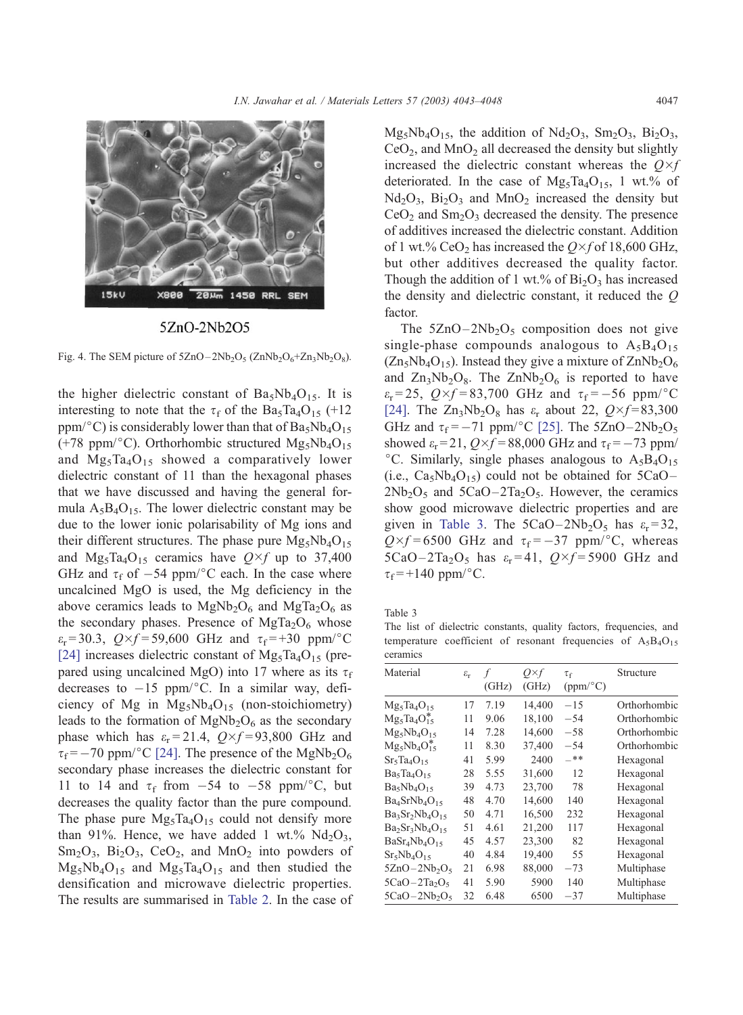<span id="page-4-0"></span>

## 5ZnO-2Nb2O5

Fig. 4. The SEM picture of  $5ZnO-2Nb<sub>2</sub>O<sub>5</sub>$  (ZnNb<sub>2</sub>O<sub>6</sub>+Zn<sub>3</sub>Nb<sub>2</sub>O<sub>8</sub>).

the higher dielectric constant of  $Ba<sub>5</sub>Nb<sub>4</sub>O<sub>15</sub>$ . It is interesting to note that the  $\tau_f$  of the Ba<sub>5</sub>Ta<sub>4</sub>O<sub>15</sub> (+12) ppm/ $\rm ^{\circ}C)$  is considerably lower than that of Ba<sub>5</sub>Nb<sub>4</sub>O<sub>15</sub> (+78 ppm/ $\degree$ C). Orthorhombic structured Mg<sub>5</sub>Nb<sub>4</sub>O<sub>15</sub> and  $Mg_5Ta_4O_{15}$  showed a comparatively lower dielectric constant of 11 than the hexagonal phases that we have discussed and having the general formula  $A_5B_4O_{15}$ . The lower dielectric constant may be due to the lower ionic polarisability of Mg ions and their different structures. The phase pure  $Mg_5Nb_4O_{15}$ and Mg<sub>5</sub>Ta<sub>4</sub>O<sub>15</sub> ceramics have  $Q \times f$  up to 37,400 GHz and  $\tau_f$  of  $-54$  ppm/°C each. In the case where uncalcined MgO is used, the Mg deficiency in the above ceramics leads to  $MgNb<sub>2</sub>O<sub>6</sub>$  and  $MgTa<sub>2</sub>O<sub>6</sub>$  as the secondary phases. Presence of  $MgTa_2O_6$  whose  $\varepsilon_r = 30.3$ ,  $Q \times f = 59,600$  GHz and  $\tau_f = +30$  ppm/°C [\[24\]](#page-5-0) increases dielectric constant of  $Mg_5Ta_4O_{15}$  (prepared using uncalcined MgO) into 17 where as its  $\tau_f$ decreases to  $-15$  ppm/ $\degree$ C. In a similar way, deficiency of Mg in  $Mg_5Nb_4O_{15}$  (non-stoichiometry) leads to the formation of  $MgNb<sub>2</sub>O<sub>6</sub>$  as the secondary phase which has  $\varepsilon_r = 21.4$ ,  $Q \times f = 93,800$  GHz and  $\tau_f$ = -70 ppm/°C [\[24\].](#page-5-0) The presence of the MgNb<sub>2</sub>O<sub>6</sub> secondary phase increases the dielectric constant for 11 to 14 and  $\tau_f$  from -54 to -58 ppm/°C, but decreases the quality factor than the pure compound. The phase pure  $Mg_5Ta_4O_{15}$  could not densify more than 91%. Hence, we have added 1 wt.%  $Nd<sub>2</sub>O<sub>3</sub>$ ,  $Sm_2O_3$ ,  $Bi_2O_3$ ,  $CeO_2$ , and  $MnO_2$  into powders of  $Mg_5Nb_4O_{15}$  and  $Mg_5Ta_4O_{15}$  and then studied the densification and microwave dielectric properties. The results are summarised in [Table 2.](#page-2-0) In the case of  $Mg_5Nb_4O_{15}$ , the addition of  $Nd_2O_3$ ,  $Sm_2O_3$ ,  $Bi_2O_3$ ,  $CeO<sub>2</sub>$ , and Mn $O<sub>2</sub>$  all decreased the density but slightly increased the dielectric constant whereas the  $Q \times f$ deteriorated. In the case of  $Mg_5Ta_4O_{15}$ , 1 wt.% of  $Nd<sub>2</sub>O<sub>3</sub>$ ,  $Bi<sub>2</sub>O<sub>3</sub>$  and  $MnO<sub>2</sub>$  increased the density but  $CeO<sub>2</sub>$  and  $Sm<sub>2</sub>O<sub>3</sub>$  decreased the density. The presence of additives increased the dielectric constant. Addition of 1 wt.% CeO<sub>2</sub> has increased the  $Q \times f$  of 18,600 GHz, but other additives decreased the quality factor. Though the addition of 1 wt.% of  $Bi<sub>2</sub>O<sub>3</sub>$  has increased the density and dielectric constant, it reduced the Q factor.

The  $5ZnO-2Nb<sub>2</sub>O<sub>5</sub>$  composition does not give single-phase compounds analogous to  $A_5B_4O_{15}$  $(Zn_5Nb_4O_{15})$ . Instead they give a mixture of  $ZnNb_2O_6$ and  $Zn_3Nb_2O_8$ . The  $ZnNb_2O_6$  is reported to have  $\varepsilon_{\rm r} = 25$ ,  $Q \times f = 83,700$  GHz and  $\tau_{\rm f} = -56$  ppm/°C [\[24\].](#page-5-0) The  $Zn_3Nb_2O_8$  has  $\varepsilon_r$  about 22,  $Q \times f = 83,300$ GHz and  $\tau_f = -71$  ppm/°C [\[25\].](#page-5-0) The 5ZnO-2Nb<sub>2</sub>O<sub>5</sub> showed  $\varepsilon_{\rm r}$  = 21,  $Q \times f$  = 88,000 GHz and  $\tau_{\rm f}$  = -73 ppm/ °C. Similarly, single phases analogous to  $A_5B_4O_{15}$ (i.e.,  $Ca_5Nb_4O_{15}$ ) could not be obtained for  $5CaO 2Nb<sub>2</sub>O<sub>5</sub>$  and  $5CaO - 2Ta<sub>2</sub>O<sub>5</sub>$ . However, the ceramics show good microwave dielectric properties and are given in Table 3. The  $5CaO-2Nb<sub>2</sub>O<sub>5</sub>$  has  $\varepsilon_r = 32$ ,  $Q \times f = 6500$  GHz and  $\tau_f = -37$  ppm/°C, whereas  $5CaO - 2Ta_2O_5$  has  $\varepsilon_r = 41$ ,  $Q \times f = 5900$  GHz and  $\tau_f = +140$  ppm/°C.

Table 3

The list of dielectric constants, quality factors, frequencies, and temperature coefficient of resonant frequencies of  $A_5B_4O_{15}$ ceramics

| Material             | $\varepsilon_{\rm r}$ | f     | $Q\times f$ | $\tau_f$ | Structure    |  |  |  |
|----------------------|-----------------------|-------|-------------|----------|--------------|--|--|--|
|                      |                       | (GHz) | (GHz)       | (ppm/°C) |              |  |  |  |
| $Mg_5Ta_4O_{15}$     | 17                    | 7.19  | 14,400      | $-15$    | Orthorhombic |  |  |  |
| $Mg_5Ta_4O_{15}^*$   | 11                    | 9.06  | 18,100      | $-54$    | Orthorhombic |  |  |  |
| $Mg_5Nb_4O_{15}$     | 14                    | 7.28  | 14,600      | $-58$    | Orthorhombic |  |  |  |
| $Mg_5Nb_4O_{15}^*$   | 11                    | 8.30  | 37,400      | $-54$    | Orthorhombic |  |  |  |
| $Sr5Ta4O15$          | 41                    | 5.99  | 2400        | $-***$   | Hexagonal    |  |  |  |
| $Ba5Ta4O15$          | 28                    | 5.55  | 31,600      | 12       | Hexagonal    |  |  |  |
| $Ba5Nb4O15$          | 39                    | 4.73  | 23,700      | 78       | Hexagonal    |  |  |  |
| $Ba_4SrNb_4O_{15}$   | 48                    | 4.70  | 14,600      | 140      | Hexagonal    |  |  |  |
| $Ba_3Sr_2Nb_4O_1s$   | 50                    | 4.71  | 16,500      | 232      | Hexagonal    |  |  |  |
| $Ba_2Sr_3Nb_4O_{15}$ | 51                    | 4.61  | 21,200      | 117      | Hexagonal    |  |  |  |
| $BaSr4Nb4O15$        | 45                    | 4.57  | 23,300      | 82       | Hexagonal    |  |  |  |
| $Sr5Nb4O15$          | 40                    | 4.84  | 19.400      | 55       | Hexagonal    |  |  |  |
| $5ZnO-2Nb2O5$        | 21                    | 6.98  | 88,000      | $-73$    | Multiphase   |  |  |  |
| $5CaO-2Ta_2O_5$      | 41                    | 5.90  | 5900        | 140      | Multiphase   |  |  |  |
| $5CaO-2Nb2O5$        | 32                    | 6.48  | 6500        | $-37$    | Multiphase   |  |  |  |